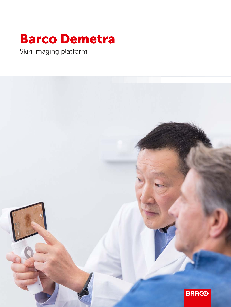## Barco Demetra

Skin imaging platform

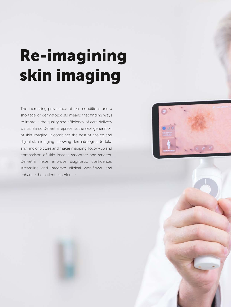# Re-imagining skin imaging

The increasing prevalence of skin conditions and a shortage of dermatologists means that finding ways to improve the quality and efficiency of care delivery is vital. Barco Demetra represents the next generation of skin imaging. It combines the best of analog and digital skin imaging, allowing dermatologists to take any kind of picture and makes mapping, follow-up and comparison of skin images smoother and smarter. Demetra helps improve diagnostic confidence, streamline and integrate clinical workflows, and enhance the patient experience.

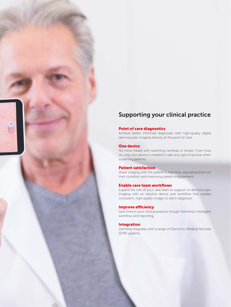## Supporting your clinical practice

#### Point of care diagnostics

Achieve better informed diagnoses with high-quality digital dermoscopic imaging directly at the point of care.

#### One device

图

No more hassle with switching cameras or lenses. From now on, only one device is needed to take any type of picture when screening patients.

#### Patient satisfaction

Share imaging with the patient in real-time, educating them on their condition and improving patient engagement.

#### Enable care team workflows

Expand the role of your care team to support on dermoscopic imaging with an intuitive device and workflow that creates consistent, high-quality images to aid in diagnosis.

#### Improve efficiency

Save time in your clinical practice though Demetra's intelligent workflow and reporting.

#### Integration

Demetra integrates with a range of Electronic Medical Records (EMR) systems.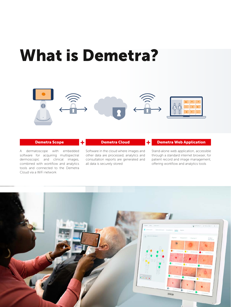## What is Demetra?



#### Demetra Scope

A dermatoscope with embedded software for acquiring multispectral dermoscopic and clinical images, combined with workflow and analytics tools and connected to the Demetra Cloud via a WiFi network

### Demetra Cloud

Software in the cloud where images and other data are processed, analytics and consultation reports are generated and all data is securely stored

Demetra Web Application

Stand-alone web application, accessible through a standard internet browser, for patient record and image management, offering workflow and analytics tools

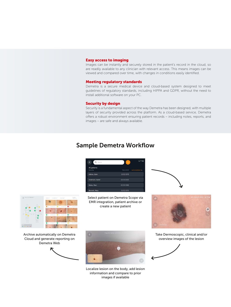#### Easy access to imaging

Images can be instantly and securely stored in the patient's record in the cloud, so are readily available to any clinician with relevant access. This means images can be viewed and compared over time, with changes in conditions easily identified.

#### Meeting regulatory standards

Demetra is a secure medical device and cloud-based system designed to meet guidelines of regulatory standards, including HIPPA and GDPR, without the need to install additional software on your PC.

#### Security by design

Security is a fundamental aspect of the way Demetra has been designed, with multiple layers of security provided across the platform. As a cloud-based service, Demetra offers a robust environment ensuring patient records – including notes, reports, and images – are safe and always available.

### Sample Demetra Workflow

| ≪<br>Search                | ٠             | <b>DO</b>            |
|----------------------------|---------------|----------------------|
| All patients<br>Narrie Va. | Date of birth | Lett consultation v. |
| Adkins, John               | 12/02/1978    |                      |
| Anderson, Xavier           | 05/14/2005    |                      |
| Bailey, Marc               | 02/20/1988    |                      |
| Bennett, Mary              | 01/03/1976    |                      |

Select patient on Demetra Scope via EMR integration, patient archive or create a new patient





Take Dermoscopic, clinical and/or overview images of the lesion





Archive automatically on Demetra Cloud and generate reporting on Demetra Web





Localize lesion on the body, add lesion information and compare to prior images if available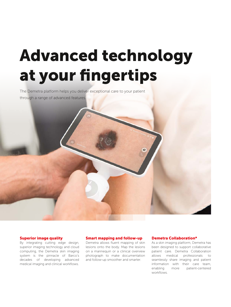## Advanced technology at your fingertips

The Demetra platform helps you deliver exceptional care to your patient through a range of advanced features.

#### Superior image quality

By integrating cutting edge design, superior imaging technology and cloud computing, the Demetra skin imaging system is the pinnacle of Barco's decades of developing advanced medical imaging and clinical workflows.

#### Smart mapping and follow-up

Demetra allows fluent mapping of skin lesions onto the body. Map the lesions on a mannequin or a clinical overview photograph to make documentation and follow-up smoother and smarter.

#### Demetra Collaboration\*

As a skin imaging platform, Demetra has been designed to support collaborative patient care. Demetra Collaboration allows medical professionals to seamlessly share imaging and patient information with their care team, enabling more patient-centered workflows.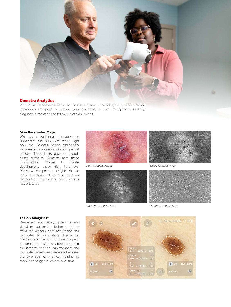

#### Demetra Analytics

With Demetra Analytics, Barco continues to develop and integrate ground-breaking capabilities designed to support your decisions on the management strategy, diagnosis, treatment and follow-up of skin lesions.

#### Skin Parameter Maps

Whereas a traditional dermatoscope illuminates the skin with white light only, the Demetra Scope additionally captures a complete set of multispectral images. Through its powerful cloudbased platform, Demetra uses these multispectral images to create visualizations called Skin Parameter Maps, which provide insights of the inner structures of lesions, such as pigment distribution and blood vessels (vasculature).



*Dermoscopic image*





*Blood Contrast Map*



*Pigment Contrast Map*

*Scatter Contrast Map*

#### Lesion Analytics\*

Demetra's Lesion Analytics provides and visualizes automatic lesion contours from the digitally captured image and calculates lesion metrics directly on the device at the point of care. If a prior image of the lesion has been captured by Demetra, the tool can compare and calculate the relative difference between the two sets of metrics, helping to monitor changes in lesions over time.